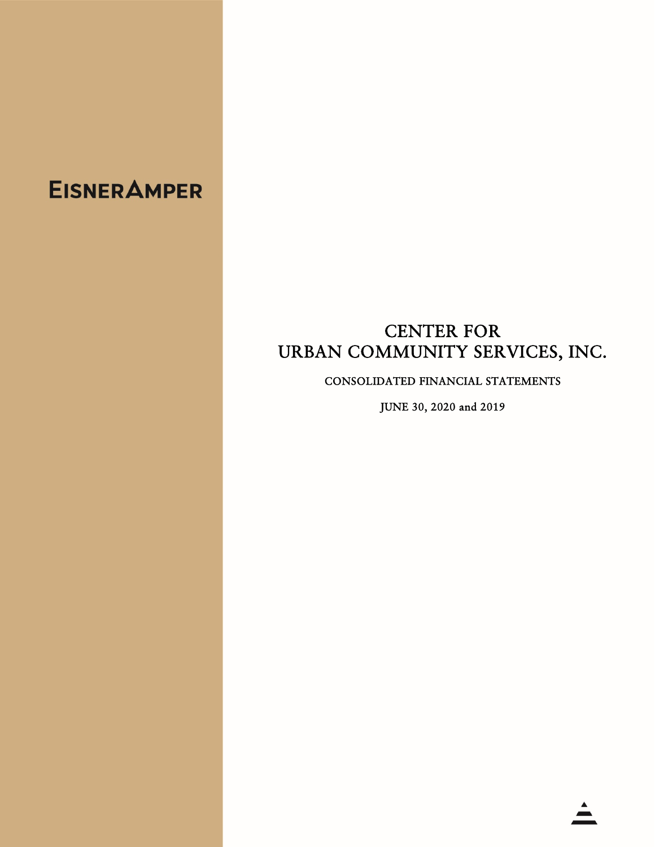## **EISNER AMPER**

## CENTER FOR URBAN COMMUNITY SERVICES, INC.

CONSOLIDATED FINANCIAL STATEMENTS

JUNE 30, 2020 and 2019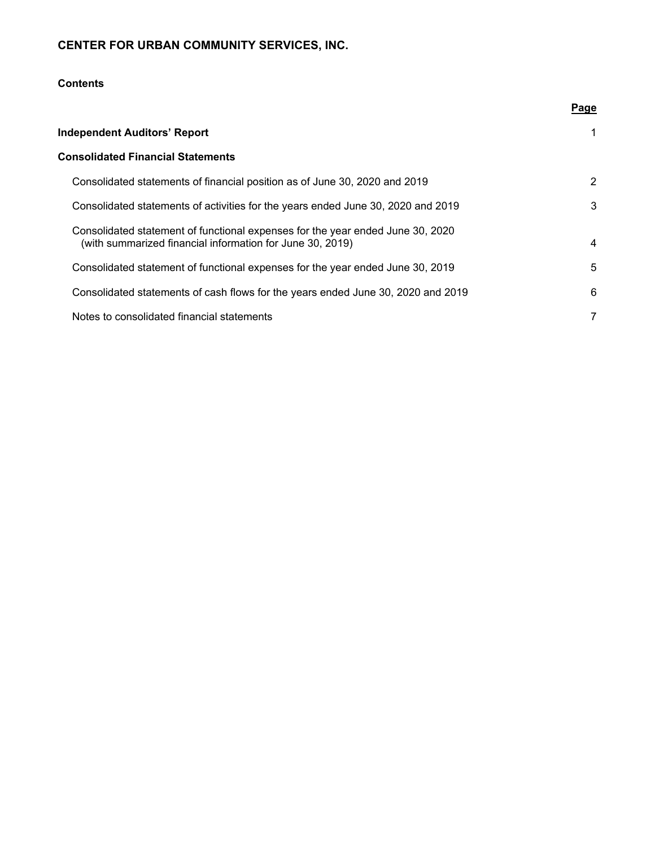## **Contents**

|                                                                                                                                             | Page           |
|---------------------------------------------------------------------------------------------------------------------------------------------|----------------|
| <b>Independent Auditors' Report</b>                                                                                                         |                |
| <b>Consolidated Financial Statements</b>                                                                                                    |                |
| Consolidated statements of financial position as of June 30, 2020 and 2019                                                                  | $\overline{2}$ |
| Consolidated statements of activities for the years ended June 30, 2020 and 2019                                                            | 3              |
| Consolidated statement of functional expenses for the year ended June 30, 2020<br>(with summarized financial information for June 30, 2019) | 4              |
| Consolidated statement of functional expenses for the year ended June 30, 2019                                                              | 5              |
| Consolidated statements of cash flows for the years ended June 30, 2020 and 2019                                                            | 6              |
| Notes to consolidated financial statements                                                                                                  | 7              |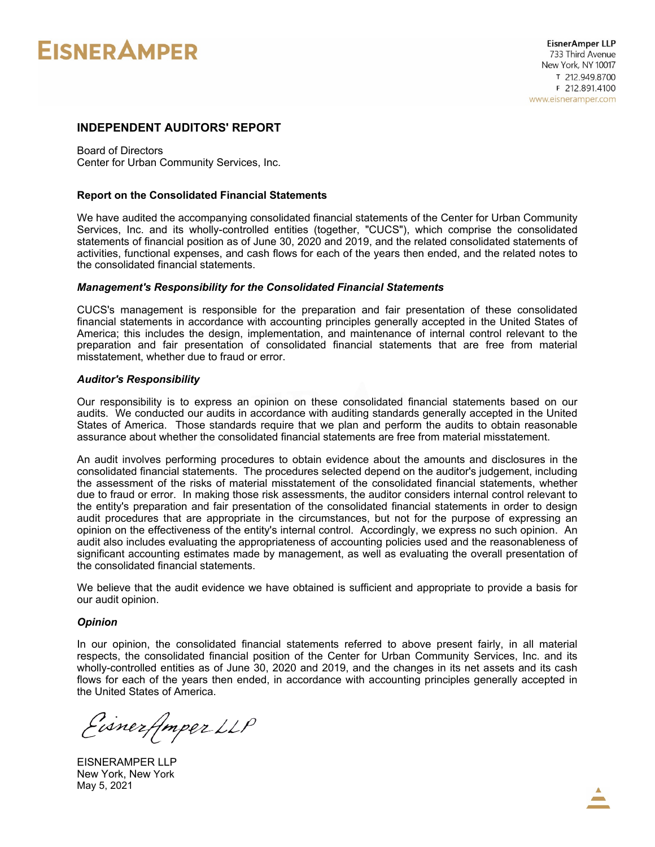# **EISNER AMPER**

## **INDEPENDENT AUDITORS' REPORT**

Board of Directors Center for Urban Community Services, Inc.

#### **Report on the Consolidated Financial Statements**

We have audited the accompanying consolidated financial statements of the Center for Urban Community Services, Inc. and its wholly-controlled entities (together, "CUCS"), which comprise the consolidated statements of financial position as of June 30, 2020 and 2019, and the related consolidated statements of activities, functional expenses, and cash flows for each of the years then ended, and the related notes to the consolidated financial statements.

#### *Management's Responsibility for the Consolidated Financial Statements*

CUCS's management is responsible for the preparation and fair presentation of these consolidated financial statements in accordance with accounting principles generally accepted in the United States of America; this includes the design, implementation, and maintenance of internal control relevant to the preparation and fair presentation of consolidated financial statements that are free from material misstatement, whether due to fraud or error.

#### *Auditor's Responsibility*

Our responsibility is to express an opinion on these consolidated financial statements based on our audits. We conducted our audits in accordance with auditing standards generally accepted in the United States of America. Those standards require that we plan and perform the audits to obtain reasonable assurance about whether the consolidated financial statements are free from material misstatement.

An audit involves performing procedures to obtain evidence about the amounts and disclosures in the consolidated financial statements. The procedures selected depend on the auditor's judgement, including the assessment of the risks of material misstatement of the consolidated financial statements, whether due to fraud or error. In making those risk assessments, the auditor considers internal control relevant to the entity's preparation and fair presentation of the consolidated financial statements in order to design audit procedures that are appropriate in the circumstances, but not for the purpose of expressing an opinion on the effectiveness of the entity's internal control. Accordingly, we express no such opinion. An audit also includes evaluating the appropriateness of accounting policies used and the reasonableness of significant accounting estimates made by management, as well as evaluating the overall presentation of the consolidated financial statements.

We believe that the audit evidence we have obtained is sufficient and appropriate to provide a basis for our audit opinion.

#### *Opinion*

In our opinion, the consolidated financial statements referred to above present fairly, in all material respects, the consolidated financial position of the Center for Urban Community Services, Inc. and its wholly-controlled entities as of June 30, 2020 and 2019, and the changes in its net assets and its cash flows for each of the years then ended, in accordance with accounting principles generally accepted in the United States of America.

Eisnerfmper LLP

EISNERAMPER LLP New York, New York May 5, 2021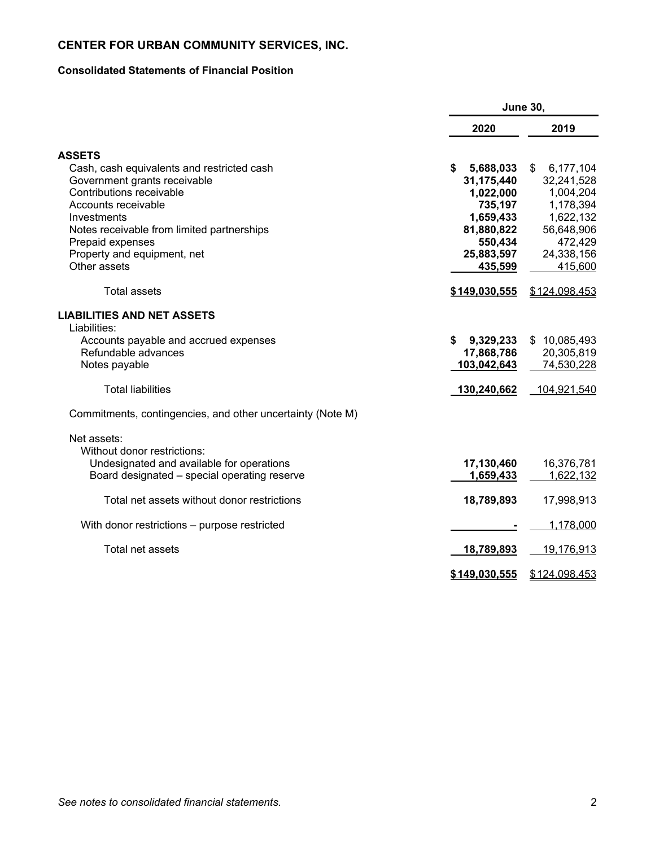## **Consolidated Statements of Financial Position**

|                                                            | <b>June 30,</b>      |                 |  |
|------------------------------------------------------------|----------------------|-----------------|--|
|                                                            | 2020                 | 2019            |  |
| <b>ASSETS</b>                                              |                      |                 |  |
| Cash, cash equivalents and restricted cash                 | 5,688,033<br>S       | 6,177,104<br>\$ |  |
| Government grants receivable                               | 31,175,440           | 32,241,528      |  |
| Contributions receivable                                   | 1,022,000            | 1,004,204       |  |
| Accounts receivable                                        | 735,197              | 1,178,394       |  |
| Investments                                                | 1,659,433            | 1,622,132       |  |
| Notes receivable from limited partnerships                 | 81,880,822           | 56,648,906      |  |
| Prepaid expenses                                           | 550,434              | 472,429         |  |
| Property and equipment, net                                | 25,883,597           | 24,338,156      |  |
| Other assets                                               | 435,599              | 415,600         |  |
| <b>Total assets</b>                                        | \$149,030,555        | \$124,098,453   |  |
| <b>LIABILITIES AND NET ASSETS</b>                          |                      |                 |  |
| Liabilities:                                               |                      |                 |  |
| Accounts payable and accrued expenses                      | \$<br>9,329,233      | \$10,085,493    |  |
| Refundable advances                                        | 17,868,786           | 20,305,819      |  |
| Notes payable                                              | 103,042,643          | 74,530,228      |  |
| <b>Total liabilities</b>                                   | 130,240,662          | 104,921,540     |  |
| Commitments, contingencies, and other uncertainty (Note M) |                      |                 |  |
| Net assets:                                                |                      |                 |  |
| Without donor restrictions:                                |                      |                 |  |
| Undesignated and available for operations                  | 17,130,460           | 16,376,781      |  |
| Board designated - special operating reserve               | 1,659,433            | 1,622,132       |  |
|                                                            |                      |                 |  |
| Total net assets without donor restrictions                | 18,789,893           | 17,998,913      |  |
| With donor restrictions – purpose restricted               |                      | 1,178,000       |  |
| Total net assets                                           | 18,789,893           | 19,176,913      |  |
|                                                            | <u>\$149,030,555</u> | \$124,098,453   |  |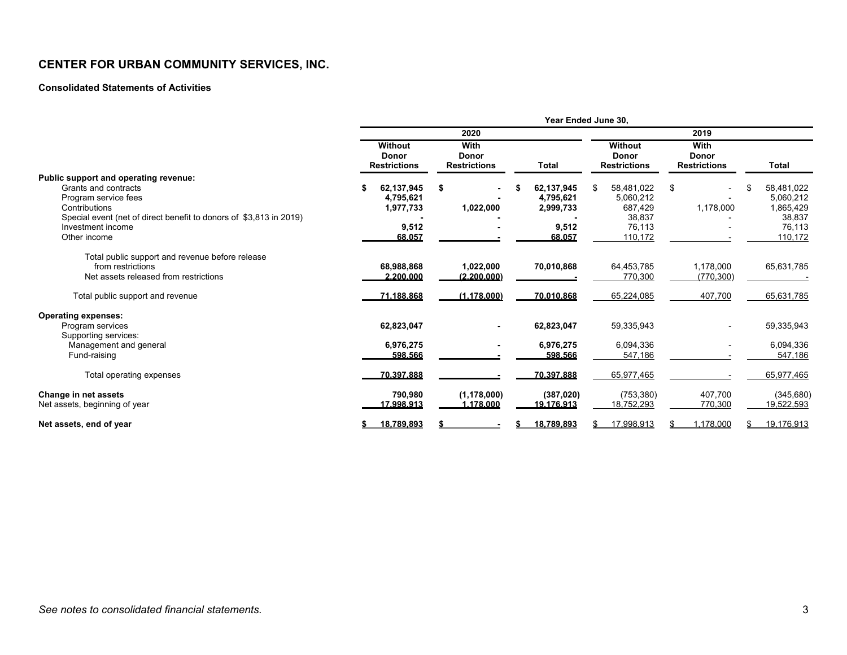#### **Consolidated Statements of Activities**

|                                                                                         | Year Ended June 30,                                   |                                             |                                      |                                                |                                             |                                      |  |  |
|-----------------------------------------------------------------------------------------|-------------------------------------------------------|---------------------------------------------|--------------------------------------|------------------------------------------------|---------------------------------------------|--------------------------------------|--|--|
|                                                                                         |                                                       | 2020                                        |                                      |                                                | 2019                                        |                                      |  |  |
|                                                                                         | <b>Without</b><br><b>Donor</b><br><b>Restrictions</b> | With<br><b>Donor</b><br><b>Restrictions</b> | <b>Total</b>                         | Without<br><b>Donor</b><br><b>Restrictions</b> | With<br><b>Donor</b><br><b>Restrictions</b> | <b>Total</b>                         |  |  |
| Public support and operating revenue:<br>Grants and contracts                           | \$                                                    |                                             |                                      |                                                |                                             |                                      |  |  |
| Program service fees<br>Contributions                                                   | 62,137,945<br>4,795,621<br>1,977,733                  | \$<br>1,022,000                             | 62,137,945<br>4,795,621<br>2,999,733 | 58,481,022<br>\$<br>5,060,212<br>687,429       | \$<br>1,178,000                             | 58,481,022<br>5,060,212<br>1,865,429 |  |  |
| Special event (net of direct benefit to donors of \$3,813 in 2019)<br>Investment income | 9,512                                                 |                                             | 9,512                                | 38.837<br>76.113                               |                                             | 38,837<br>76,113                     |  |  |
| Other income<br>Total public support and revenue before release                         | 68.057                                                |                                             | 68.057                               | 110,172                                        |                                             | 110,172                              |  |  |
| from restrictions<br>Net assets released from restrictions                              | 68,988,868<br>2.200.000                               | 1,022,000<br>(2.200.000)                    | 70,010,868                           | 64,453,785<br>770,300                          | 1,178,000<br>(770, 300)                     | 65,631,785                           |  |  |
| Total public support and revenue                                                        | 71.188.868                                            | (1.178.000)                                 | 70.010.868                           | 65,224,085                                     | 407,700                                     | 65,631,785                           |  |  |
| <b>Operating expenses:</b>                                                              |                                                       |                                             |                                      |                                                |                                             |                                      |  |  |
| Program services<br>Supporting services:                                                | 62,823,047                                            |                                             | 62,823,047                           | 59,335,943                                     |                                             | 59,335,943                           |  |  |
| Management and general<br>Fund-raising                                                  | 6,976,275<br>598.566                                  |                                             | 6,976,275<br>598.566                 | 6,094,336<br>547,186                           |                                             | 6,094,336<br>547,186                 |  |  |
| Total operating expenses                                                                | 70.397.888                                            |                                             | 70.397.888                           | 65,977,465                                     |                                             | 65,977,465                           |  |  |
| Change in net assets<br>Net assets, beginning of year                                   | 790,980<br><u>17.998.913</u>                          | (1, 178, 000)<br>1.178.000                  | (387, 020)<br>19.176.913             | (753, 380)<br>18,752,293                       | 407.700<br>770,300                          | (345, 680)<br>19,522,593             |  |  |
| Net assets, end of year                                                                 | 18,789,893                                            |                                             | 18,789,893                           | 17,998,913                                     | 1,178,000                                   | 19,176,913                           |  |  |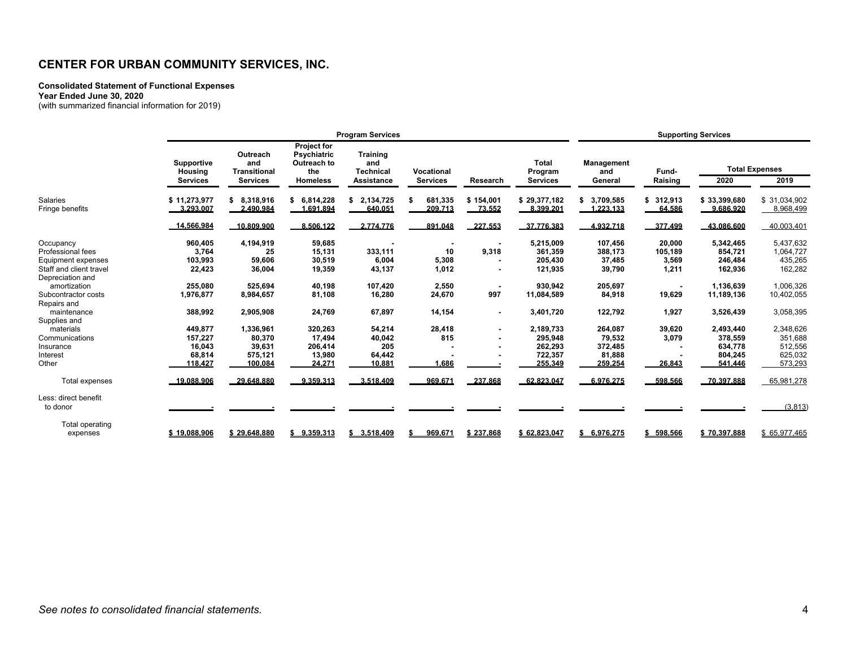#### **Consolidated Statement of Functional Expenses**

**Year Ended June 30, 2020** 

(with summarized financial information for 2019)

|                                                                                 |                                                   |                                                           |                                                                                   | <b>Program Services</b>                                         |                                        |                     |                                                       |                                                   |                                     | <b>Supporting Services</b>                            |                                                       |
|---------------------------------------------------------------------------------|---------------------------------------------------|-----------------------------------------------------------|-----------------------------------------------------------------------------------|-----------------------------------------------------------------|----------------------------------------|---------------------|-------------------------------------------------------|---------------------------------------------------|-------------------------------------|-------------------------------------------------------|-------------------------------------------------------|
|                                                                                 | <b>Supportive</b><br>Housing<br><b>Services</b>   | Outreach<br>and<br><b>Transitional</b><br><b>Services</b> | <b>Project for</b><br><b>Psychiatric</b><br>Outreach to<br>the<br><b>Homeless</b> | <b>Training</b><br>and<br><b>Technical</b><br><b>Assistance</b> | Vocational<br><b>Services</b>          | Research            | <b>Total</b><br>Program<br><b>Services</b>            | <b>Management</b><br>and<br>General               | Fund-<br>Raising                    | 2020                                                  | <b>Total Expenses</b><br>2019                         |
| Salaries<br>Fringe benefits                                                     | \$11,273,977<br>3.293.007                         | \$8.318.916<br>2.490.984                                  | \$6.814.228<br>1.691.894                                                          | 2,134,725<br>\$<br>640.051                                      | 681.335<br>209.713                     | \$154.001<br>73.552 | \$29.377.182<br>8.399.201                             | \$3,709,585<br>1.223.133                          | \$312,913<br>64.586                 | \$33,399,680<br>9.686.920                             | \$31,034,902<br>8,968,499                             |
|                                                                                 | 14.566.984                                        | 10.809.900                                                | 8.506.122                                                                         | 2.774.776                                                       | 891.048                                | 227.553             | 37.776.383                                            | 4.932.718                                         | 377.499                             | 43.086.600                                            | 40,003,401                                            |
| Occupancy<br>Professional fees<br>Equipment expenses<br>Staff and client travel | 960,405<br>3,764<br>103,993<br>22.423             | 4,194,919<br>25<br>59,606<br>36.004                       | 59,685<br>15,131<br>30,519<br>19,359                                              | 333,111<br>6,004<br>43,137                                      | $\blacksquare$<br>10<br>5,308<br>1,012 | 9,318               | 5,215,009<br>361,359<br>205,430<br>121,935            | 107,456<br>388,173<br>37,485<br>39,790            | 20,000<br>105,189<br>3,569<br>1,211 | 5,342,465<br>854,721<br>246,484<br>162,936            | 5,437,632<br>1,064,727<br>435,265<br>162,282          |
| Depreciation and<br>amortization<br>Subcontractor costs<br>Repairs and          | 255.080<br>1,976,877                              | 525.694<br>8,984,657                                      | 40.198<br>81,108                                                                  | 107,420<br>16,280                                               | 2,550<br>24,670                        | 997                 | 930.942<br>11,084,589                                 | 205,697<br>84,918                                 | 19,629                              | 1,136,639<br>11,189,136                               | 1,006,326<br>10,402,055                               |
| maintenance<br>Supplies and                                                     | 388,992                                           | 2,905,908                                                 | 24,769                                                                            | 67,897                                                          | 14,154                                 | $\blacksquare$      | 3,401,720                                             | 122,792                                           | 1,927                               | 3,526,439                                             | 3,058,395                                             |
| materials<br>Communications<br>Insurance<br>Interest<br>Other                   | 449.877<br>157,227<br>16.043<br>68,814<br>118.427 | 1,336,961<br>80,370<br>39.631<br>575,121<br>100.084       | 320,263<br>17,494<br>206,414<br>13,980<br>24.271                                  | 54,214<br>40,042<br>205<br>64,442<br>10.881                     | 28,418<br>815<br>1.686                 |                     | 2,189,733<br>295,948<br>262,293<br>722,357<br>255.349 | 264.087<br>79,532<br>372,485<br>81,888<br>259.254 | 39,620<br>3,079<br>26.843           | 2,493,440<br>378,559<br>634,778<br>804,245<br>541.446 | 2,348,626<br>351,688<br>512,556<br>625,032<br>573,293 |
| <b>Total expenses</b>                                                           | 19.088.906                                        | 29.648.880                                                | 9.359.313                                                                         | 3.518.409                                                       | 969.671                                | 237.868             | 62.823.047                                            | 6.976.275                                         | 598.566                             | 70.397.888                                            | 65,981,278                                            |
| Less: direct benefit<br>to donor                                                |                                                   |                                                           |                                                                                   |                                                                 |                                        |                     |                                                       |                                                   |                                     |                                                       | (3,813)                                               |
| Total operating<br>expenses                                                     | \$19,088,906                                      | \$29,648,880                                              | \$9,359,313                                                                       | \$3,518,409                                                     | 969.671                                | \$237,868           | \$62,823,047                                          | \$6,976,275                                       | \$598,566                           | \$70,397,888                                          | \$65,977,465                                          |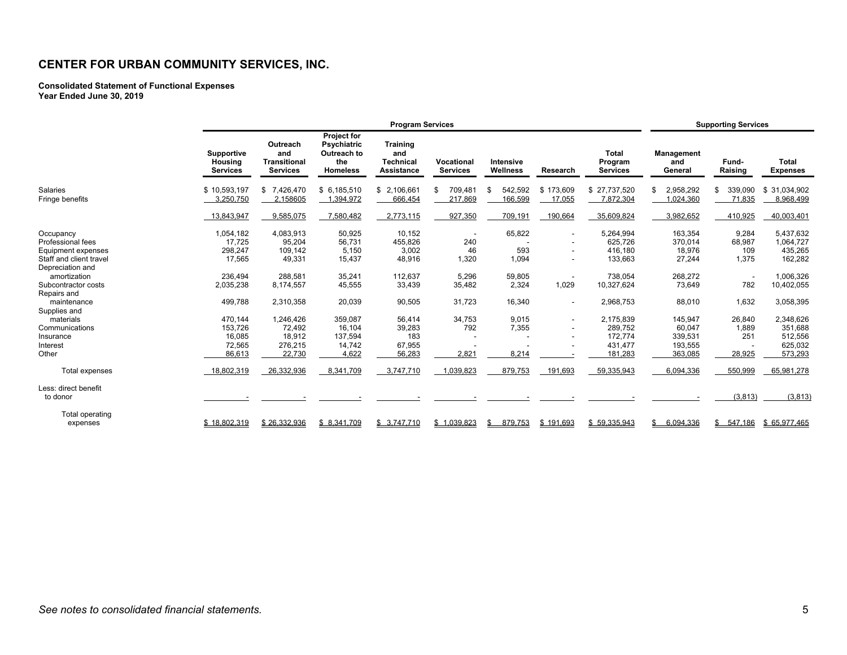#### **Consolidated Statement of Functional Expenses Year Ended June 30, 2019**

|                                                                                 | <b>Program Services</b>                          |                                                           |                                                                            |                                                          | <b>Supporting Services</b>    |                          |                                                                                                    |                                                       |                                                    |                                  |                                                       |
|---------------------------------------------------------------------------------|--------------------------------------------------|-----------------------------------------------------------|----------------------------------------------------------------------------|----------------------------------------------------------|-------------------------------|--------------------------|----------------------------------------------------------------------------------------------------|-------------------------------------------------------|----------------------------------------------------|----------------------------------|-------------------------------------------------------|
|                                                                                 | <b>Supportive</b><br>Housing<br><b>Services</b>  | Outreach<br>and<br><b>Transitional</b><br><b>Services</b> | <b>Project for</b><br>Psychiatric<br>Outreach to<br>the<br><b>Homeless</b> | <b>Training</b><br>and<br><b>Technical</b><br>Assistance | Vocational<br><b>Services</b> | Intensive<br>Wellness    | Research                                                                                           | <b>Total</b><br>Program<br><b>Services</b>            | Management<br>and<br>General                       | Fund-<br>Raising                 | <b>Total</b><br><b>Expenses</b>                       |
| Salaries<br>Fringe benefits                                                     | \$10,593,197<br>3,250,750                        | \$7,426,470<br>2,158605                                   | \$6,185,510<br>1,394,972                                                   | \$2,106,661<br>666,454                                   | 709.481<br>\$<br>217,869      | 542,592<br>\$<br>166,599 | \$173,609<br>17,055                                                                                | \$27,737,520<br>7,872,304                             | 2,958,292<br>\$<br>,024,360                        | 339,090<br>\$<br>71,835          | \$31.034.902<br>8,968,499                             |
|                                                                                 | 13,843,947                                       | 9,585,075                                                 | 7,580,482                                                                  | 2,773,115                                                | 927,350                       | 709,191                  | 190,664                                                                                            | 35,609,824                                            | 3,982,652                                          | 410,925                          | 40,003,401                                            |
| Occupancy<br>Professional fees<br>Equipment expenses<br>Staff and client travel | 1,054,182<br>17,725<br>298,247<br>17,565         | 4,083,913<br>95,204<br>109.142<br>49,331                  | 50,925<br>56,731<br>5,150<br>15,437                                        | 10,152<br>455,826<br>3,002<br>48,916                     | 240<br>46<br>1,320            | 65,822<br>593<br>1,094   | $\blacksquare$<br>$\overline{\phantom{a}}$<br>$\overline{\phantom{a}}$<br>$\overline{\phantom{a}}$ | 5,264,994<br>625,726<br>416.180<br>133,663            | 163,354<br>370,014<br>18,976<br>27,244             | 9,284<br>68,987<br>109<br>1,375  | 5,437,632<br>1,064,727<br>435,265<br>162,282          |
| Depreciation and<br>amortization<br>Subcontractor costs<br>Repairs and          | 236,494<br>2,035,238                             | 288.581<br>8,174,557                                      | 35.241<br>45,555                                                           | 112,637<br>33,439                                        | 5,296<br>35,482               | 59,805<br>2,324          | $\overline{\phantom{a}}$<br>1,029                                                                  | 738,054<br>10,327,624                                 | 268.272<br>73,649                                  | $\overline{\phantom{a}}$<br>782  | 1.006.326<br>10,402,055                               |
| maintenance<br>Supplies and                                                     | 499,788                                          | 2,310,358                                                 | 20,039                                                                     | 90,505                                                   | 31,723                        | 16,340                   | $\overline{\phantom{a}}$                                                                           | 2,968,753                                             | 88,010                                             | 1,632                            | 3,058,395                                             |
| materials<br>Communications<br>Insurance<br>Interest<br>Other                   | 470,144<br>153,726<br>16,085<br>72,565<br>86,613 | 1,246,426<br>72,492<br>18,912<br>276,215<br>22,730        | 359,087<br>16.104<br>137,594<br>14,742<br>4,622                            | 56,414<br>39,283<br>183<br>67,955<br>56,283              | 34,753<br>792<br>2,821        | 9,015<br>7,355<br>8,214  | $\blacksquare$                                                                                     | 2,175,839<br>289,752<br>172,774<br>431,477<br>181,283 | 145,947<br>60,047<br>339,531<br>193,555<br>363,085 | 26,840<br>1,889<br>251<br>28,925 | 2,348,626<br>351,688<br>512,556<br>625,032<br>573,293 |
| Total expenses                                                                  | 18,802,319                                       | 26,332,936                                                | 8,341,709                                                                  | 3,747,710                                                | 1,039,823                     | 879,753                  | 191,693                                                                                            | 59,335,943                                            | 6,094,336                                          | 550,999                          | 65,981,278                                            |
| Less: direct benefit<br>to donor                                                |                                                  |                                                           |                                                                            |                                                          |                               |                          |                                                                                                    |                                                       |                                                    | (3, 813)                         | (3,813)                                               |
| Total operating<br>expenses                                                     | \$18.802.319                                     | \$26,332,936                                              | \$8,341,709                                                                | \$3,747,710                                              | \$1,039,823                   | 879,753                  | \$191,693                                                                                          | \$59,335,943                                          | \$<br>6,094,336                                    | \$<br>547.186                    | \$65,977,465                                          |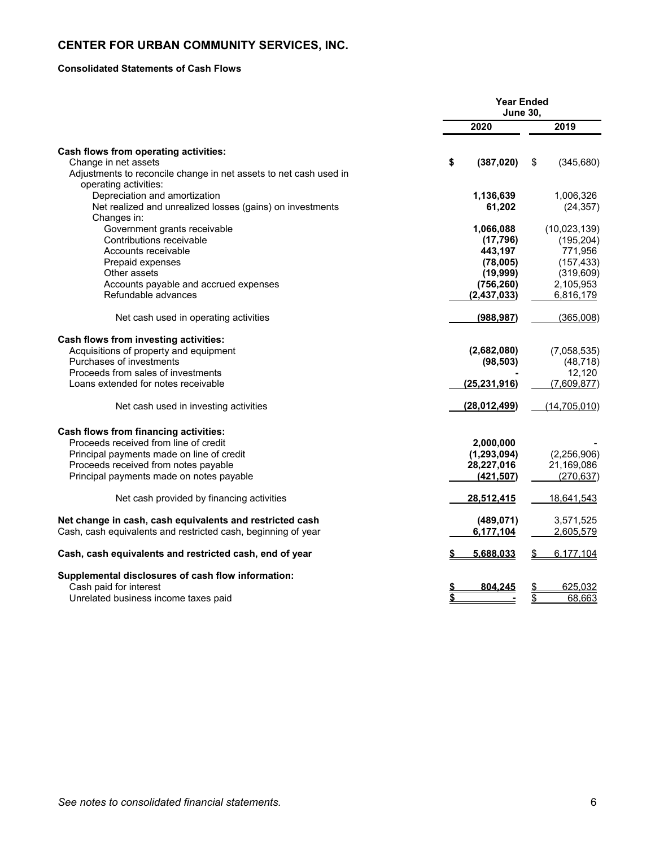#### **Consolidated Statements of Cash Flows**

|                                                                   | <b>Year Ended</b><br><b>June 30,</b> |                |    |                |
|-------------------------------------------------------------------|--------------------------------------|----------------|----|----------------|
|                                                                   |                                      | 2020           |    | 2019           |
| Cash flows from operating activities:                             |                                      |                |    |                |
| Change in net assets                                              | \$                                   | (387, 020)     | \$ | (345, 680)     |
| Adjustments to reconcile change in net assets to net cash used in |                                      |                |    |                |
| operating activities:                                             |                                      |                |    |                |
| Depreciation and amortization                                     |                                      | 1,136,639      |    | 1,006,326      |
| Net realized and unrealized losses (gains) on investments         |                                      | 61,202         |    | (24, 357)      |
| Changes in:                                                       |                                      |                |    |                |
| Government grants receivable                                      |                                      | 1,066,088      |    | (10,023,139)   |
| Contributions receivable                                          |                                      | (17, 796)      |    | (195, 204)     |
| Accounts receivable                                               |                                      | 443,197        |    | 771,956        |
| Prepaid expenses                                                  |                                      | (78,005)       |    | (157, 433)     |
| Other assets                                                      |                                      | (19, 999)      |    | (319, 609)     |
| Accounts payable and accrued expenses                             |                                      | (756, 260)     |    | 2,105,953      |
| Refundable advances                                               |                                      | (2, 437, 033)  |    | 6,816,179      |
|                                                                   |                                      | (988, 987)     |    | (365,008)      |
| Net cash used in operating activities                             |                                      |                |    |                |
| Cash flows from investing activities:                             |                                      |                |    |                |
| Acquisitions of property and equipment                            |                                      | (2,682,080)    |    | (7,058,535)    |
| Purchases of investments                                          |                                      | (98, 503)      |    | (48, 718)      |
| Proceeds from sales of investments                                |                                      |                |    | 12,120         |
| Loans extended for notes receivable                               |                                      | (25, 231, 916) |    | (7,609,877)    |
| Net cash used in investing activities                             |                                      | (28,012,499)   |    | (14, 705, 010) |
| Cash flows from financing activities:                             |                                      |                |    |                |
| Proceeds received from line of credit                             |                                      | 2,000,000      |    |                |
| Principal payments made on line of credit                         |                                      | (1, 293, 094)  |    | (2,256,906)    |
| Proceeds received from notes payable                              |                                      | 28,227,016     |    | 21,169,086     |
| Principal payments made on notes payable                          |                                      | (421, 507)     |    | (270, 637)     |
|                                                                   |                                      |                |    |                |
| Net cash provided by financing activities                         |                                      | 28,512,415     |    | 18,641,543     |
| Net change in cash, cash equivalents and restricted cash          |                                      | (489, 071)     |    | 3,571,525      |
| Cash, cash equivalents and restricted cash, beginning of year     |                                      | 6,177,104      |    | 2,605,579      |
|                                                                   |                                      |                |    |                |
| Cash, cash equivalents and restricted cash, end of year           |                                      | 5,688,033      | S  | 6,177,104      |
| Supplemental disclosures of cash flow information:                |                                      |                |    |                |
| Cash paid for interest                                            |                                      | 804,245        |    | 625,032        |
| Unrelated business income taxes paid                              |                                      |                | \$ | 68,663         |
|                                                                   |                                      |                |    |                |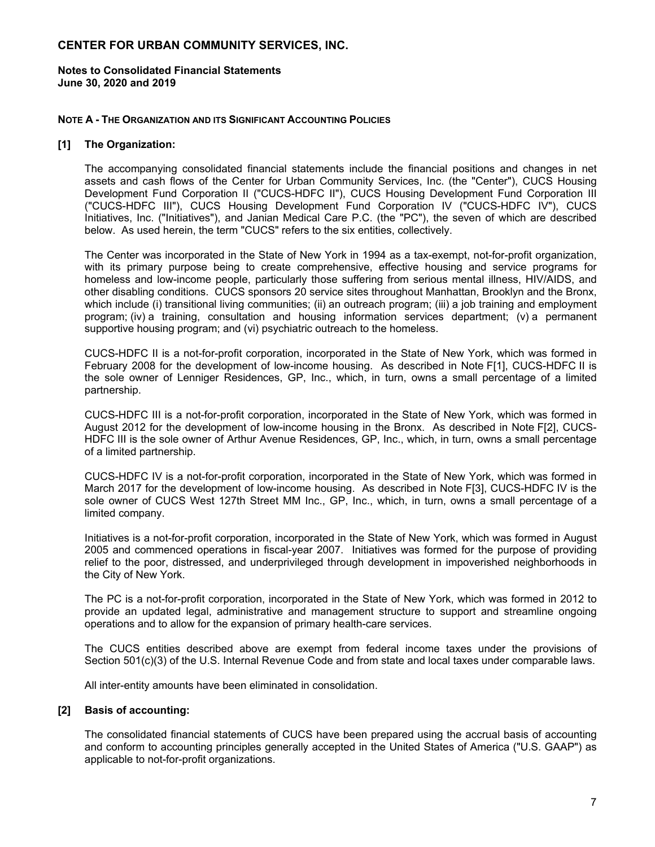**Notes to Consolidated Financial Statements June 30, 2020 and 2019** 

#### **NOTE A - THE ORGANIZATION AND ITS SIGNIFICANT ACCOUNTING POLICIES**

#### **[1] The Organization:**

The accompanying consolidated financial statements include the financial positions and changes in net assets and cash flows of the Center for Urban Community Services, Inc. (the "Center"), CUCS Housing Development Fund Corporation II ("CUCS-HDFC II"), CUCS Housing Development Fund Corporation III ("CUCS-HDFC III"), CUCS Housing Development Fund Corporation IV ("CUCS-HDFC IV"), CUCS Initiatives, Inc. ("Initiatives"), and Janian Medical Care P.C. (the "PC"), the seven of which are described below. As used herein, the term "CUCS" refers to the six entities, collectively.

The Center was incorporated in the State of New York in 1994 as a tax-exempt, not-for-profit organization, with its primary purpose being to create comprehensive, effective housing and service programs for homeless and low-income people, particularly those suffering from serious mental illness, HIV/AIDS, and other disabling conditions. CUCS sponsors 20 service sites throughout Manhattan, Brooklyn and the Bronx, which include (i) transitional living communities; (ii) an outreach program; (iii) a job training and employment program; (iv) a training, consultation and housing information services department; (v) a permanent supportive housing program; and (vi) psychiatric outreach to the homeless.

CUCS-HDFC II is a not-for-profit corporation, incorporated in the State of New York, which was formed in February 2008 for the development of low-income housing. As described in Note F[1], CUCS-HDFC II is the sole owner of Lenniger Residences, GP, Inc., which, in turn, owns a small percentage of a limited partnership.

CUCS-HDFC III is a not-for-profit corporation, incorporated in the State of New York, which was formed in August 2012 for the development of low-income housing in the Bronx. As described in Note F[2], CUCS-HDFC III is the sole owner of Arthur Avenue Residences, GP, Inc., which, in turn, owns a small percentage of a limited partnership.

CUCS-HDFC IV is a not-for-profit corporation, incorporated in the State of New York, which was formed in March 2017 for the development of low-income housing. As described in Note F[3], CUCS-HDFC IV is the sole owner of CUCS West 127th Street MM Inc., GP, Inc., which, in turn, owns a small percentage of a limited company.

Initiatives is a not-for-profit corporation, incorporated in the State of New York, which was formed in August 2005 and commenced operations in fiscal-year 2007. Initiatives was formed for the purpose of providing relief to the poor, distressed, and underprivileged through development in impoverished neighborhoods in the City of New York.

The PC is a not-for-profit corporation, incorporated in the State of New York, which was formed in 2012 to provide an updated legal, administrative and management structure to support and streamline ongoing operations and to allow for the expansion of primary health-care services.

The CUCS entities described above are exempt from federal income taxes under the provisions of Section 501(c)(3) of the U.S. Internal Revenue Code and from state and local taxes under comparable laws.

All inter-entity amounts have been eliminated in consolidation.

#### **[2] Basis of accounting:**

The consolidated financial statements of CUCS have been prepared using the accrual basis of accounting and conform to accounting principles generally accepted in the United States of America ("U.S. GAAP") as applicable to not-for-profit organizations.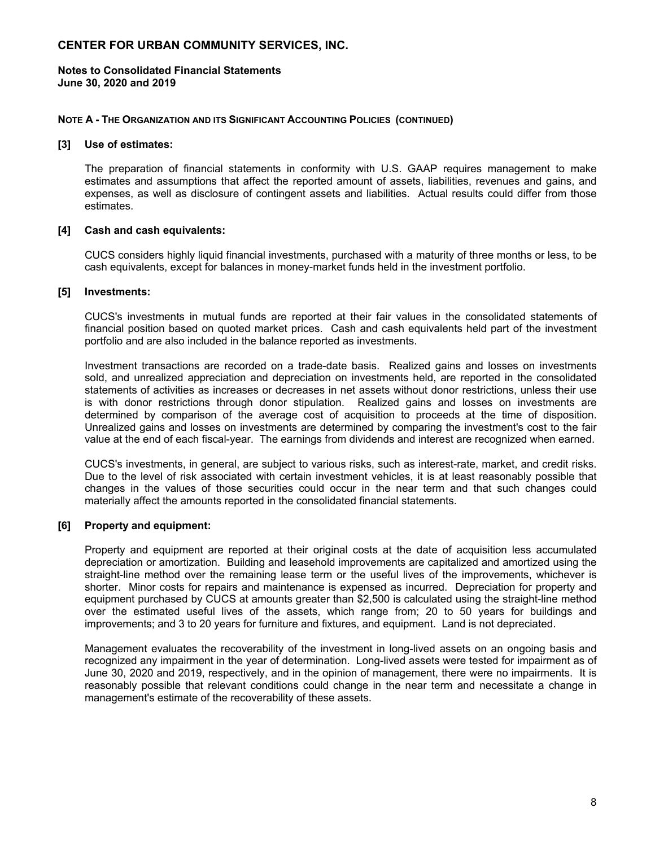#### **Notes to Consolidated Financial Statements June 30, 2020 and 2019**

#### **NOTE A - THE ORGANIZATION AND ITS SIGNIFICANT ACCOUNTING POLICIES (CONTINUED)**

#### **[3] Use of estimates:**

The preparation of financial statements in conformity with U.S. GAAP requires management to make estimates and assumptions that affect the reported amount of assets, liabilities, revenues and gains, and expenses, as well as disclosure of contingent assets and liabilities. Actual results could differ from those estimates.

#### **[4] Cash and cash equivalents:**

CUCS considers highly liquid financial investments, purchased with a maturity of three months or less, to be cash equivalents, except for balances in money-market funds held in the investment portfolio.

#### **[5] Investments:**

CUCS's investments in mutual funds are reported at their fair values in the consolidated statements of financial position based on quoted market prices. Cash and cash equivalents held part of the investment portfolio and are also included in the balance reported as investments.

Investment transactions are recorded on a trade-date basis. Realized gains and losses on investments sold, and unrealized appreciation and depreciation on investments held, are reported in the consolidated statements of activities as increases or decreases in net assets without donor restrictions, unless their use is with donor restrictions through donor stipulation. Realized gains and losses on investments are determined by comparison of the average cost of acquisition to proceeds at the time of disposition. Unrealized gains and losses on investments are determined by comparing the investment's cost to the fair value at the end of each fiscal-year. The earnings from dividends and interest are recognized when earned.

CUCS's investments, in general, are subject to various risks, such as interest-rate, market, and credit risks. Due to the level of risk associated with certain investment vehicles, it is at least reasonably possible that changes in the values of those securities could occur in the near term and that such changes could materially affect the amounts reported in the consolidated financial statements.

#### **[6] Property and equipment:**

Property and equipment are reported at their original costs at the date of acquisition less accumulated depreciation or amortization. Building and leasehold improvements are capitalized and amortized using the straight-line method over the remaining lease term or the useful lives of the improvements, whichever is shorter. Minor costs for repairs and maintenance is expensed as incurred. Depreciation for property and equipment purchased by CUCS at amounts greater than \$2,500 is calculated using the straight-line method over the estimated useful lives of the assets, which range from; 20 to 50 years for buildings and improvements; and 3 to 20 years for furniture and fixtures, and equipment. Land is not depreciated.

Management evaluates the recoverability of the investment in long-lived assets on an ongoing basis and recognized any impairment in the year of determination. Long-lived assets were tested for impairment as of June 30, 2020 and 2019, respectively, and in the opinion of management, there were no impairments. It is reasonably possible that relevant conditions could change in the near term and necessitate a change in management's estimate of the recoverability of these assets.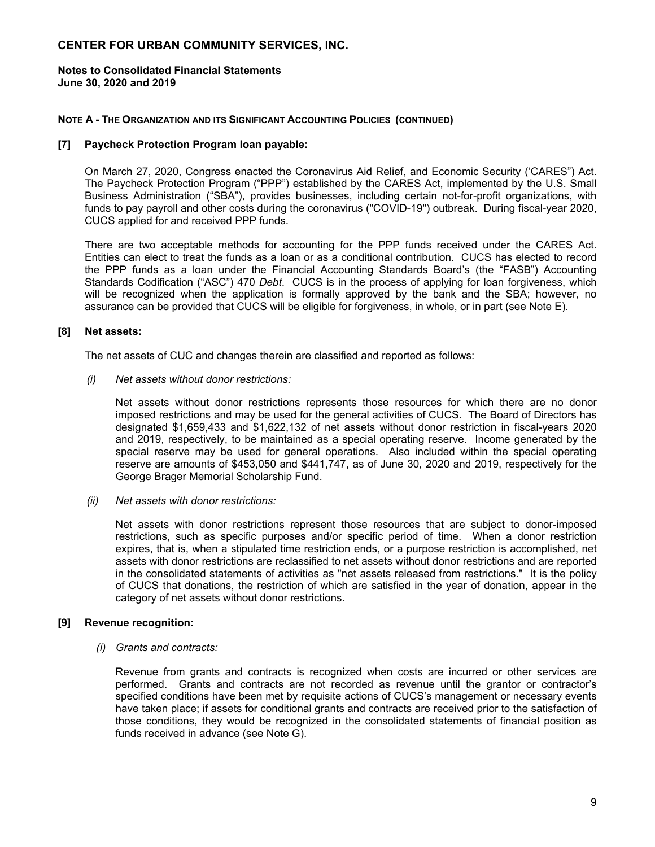#### **Notes to Consolidated Financial Statements June 30, 2020 and 2019**

#### **NOTE A - THE ORGANIZATION AND ITS SIGNIFICANT ACCOUNTING POLICIES (CONTINUED)**

#### **[7] Paycheck Protection Program loan payable:**

On March 27, 2020, Congress enacted the Coronavirus Aid Relief, and Economic Security ('CARES") Act. The Paycheck Protection Program ("PPP") established by the CARES Act, implemented by the U.S. Small Business Administration ("SBA"), provides businesses, including certain not-for-profit organizations, with funds to pay payroll and other costs during the coronavirus ("COVID-19") outbreak. During fiscal-year 2020, CUCS applied for and received PPP funds.

There are two acceptable methods for accounting for the PPP funds received under the CARES Act. Entities can elect to treat the funds as a loan or as a conditional contribution. CUCS has elected to record the PPP funds as a loan under the Financial Accounting Standards Board's (the "FASB") Accounting Standards Codification ("ASC") 470 *Debt*. CUCS is in the process of applying for loan forgiveness, which will be recognized when the application is formally approved by the bank and the SBA; however, no assurance can be provided that CUCS will be eligible for forgiveness, in whole, or in part (see Note E).

#### **[8] Net assets:**

The net assets of CUC and changes therein are classified and reported as follows:

*(i) Net assets without donor restrictions:*

Net assets without donor restrictions represents those resources for which there are no donor imposed restrictions and may be used for the general activities of CUCS. The Board of Directors has designated \$1,659,433 and \$1,622,132 of net assets without donor restriction in fiscal-years 2020 and 2019, respectively, to be maintained as a special operating reserve. Income generated by the special reserve may be used for general operations. Also included within the special operating reserve are amounts of \$453,050 and \$441,747, as of June 30, 2020 and 2019, respectively for the George Brager Memorial Scholarship Fund.

*(ii) Net assets with donor restrictions:* 

Net assets with donor restrictions represent those resources that are subject to donor-imposed restrictions, such as specific purposes and/or specific period of time. When a donor restriction expires, that is, when a stipulated time restriction ends, or a purpose restriction is accomplished, net assets with donor restrictions are reclassified to net assets without donor restrictions and are reported in the consolidated statements of activities as "net assets released from restrictions." It is the policy of CUCS that donations, the restriction of which are satisfied in the year of donation, appear in the category of net assets without donor restrictions.

#### **[9] Revenue recognition:**

*(i) Grants and contracts:* 

Revenue from grants and contracts is recognized when costs are incurred or other services are performed. Grants and contracts are not recorded as revenue until the grantor or contractor's specified conditions have been met by requisite actions of CUCS's management or necessary events have taken place; if assets for conditional grants and contracts are received prior to the satisfaction of those conditions, they would be recognized in the consolidated statements of financial position as funds received in advance (see Note G).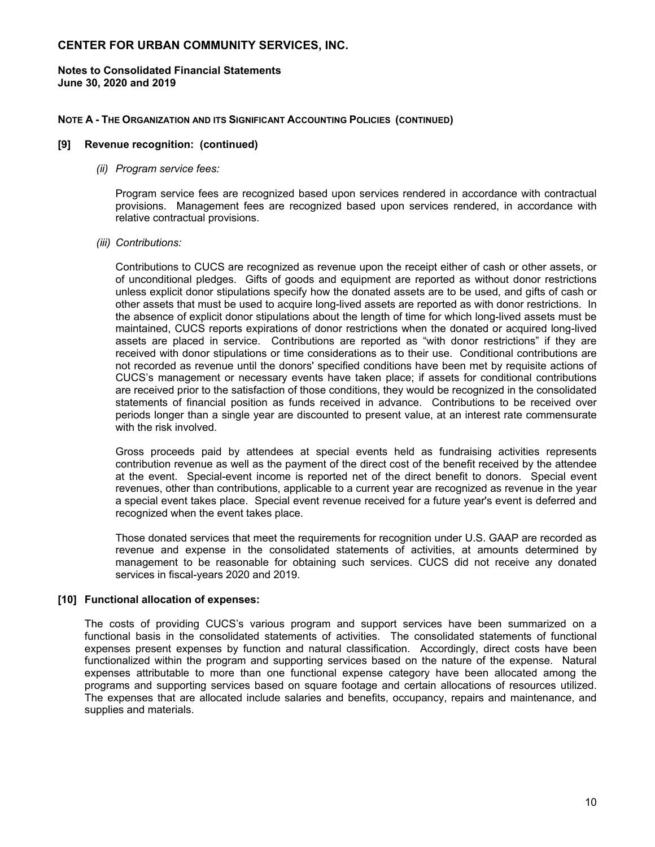#### **Notes to Consolidated Financial Statements June 30, 2020 and 2019**

#### **NOTE A - THE ORGANIZATION AND ITS SIGNIFICANT ACCOUNTING POLICIES (CONTINUED)**

#### **[9] Revenue recognition: (continued)**

#### *(ii) Program service fees:*

Program service fees are recognized based upon services rendered in accordance with contractual provisions. Management fees are recognized based upon services rendered, in accordance with relative contractual provisions.

#### *(iii) Contributions:*

Contributions to CUCS are recognized as revenue upon the receipt either of cash or other assets, or of unconditional pledges. Gifts of goods and equipment are reported as without donor restrictions unless explicit donor stipulations specify how the donated assets are to be used, and gifts of cash or other assets that must be used to acquire long-lived assets are reported as with donor restrictions. In the absence of explicit donor stipulations about the length of time for which long-lived assets must be maintained, CUCS reports expirations of donor restrictions when the donated or acquired long-lived assets are placed in service. Contributions are reported as "with donor restrictions" if they are received with donor stipulations or time considerations as to their use. Conditional contributions are not recorded as revenue until the donors' specified conditions have been met by requisite actions of CUCS's management or necessary events have taken place; if assets for conditional contributions are received prior to the satisfaction of those conditions, they would be recognized in the consolidated statements of financial position as funds received in advance. Contributions to be received over periods longer than a single year are discounted to present value, at an interest rate commensurate with the risk involved.

Gross proceeds paid by attendees at special events held as fundraising activities represents contribution revenue as well as the payment of the direct cost of the benefit received by the attendee at the event. Special-event income is reported net of the direct benefit to donors. Special event revenues, other than contributions, applicable to a current year are recognized as revenue in the year a special event takes place. Special event revenue received for a future year's event is deferred and recognized when the event takes place.

Those donated services that meet the requirements for recognition under U.S. GAAP are recorded as revenue and expense in the consolidated statements of activities, at amounts determined by management to be reasonable for obtaining such services. CUCS did not receive any donated services in fiscal-years 2020 and 2019.

#### **[10] Functional allocation of expenses:**

The costs of providing CUCS's various program and support services have been summarized on a functional basis in the consolidated statements of activities. The consolidated statements of functional expenses present expenses by function and natural classification. Accordingly, direct costs have been functionalized within the program and supporting services based on the nature of the expense. Natural expenses attributable to more than one functional expense category have been allocated among the programs and supporting services based on square footage and certain allocations of resources utilized. The expenses that are allocated include salaries and benefits, occupancy, repairs and maintenance, and supplies and materials.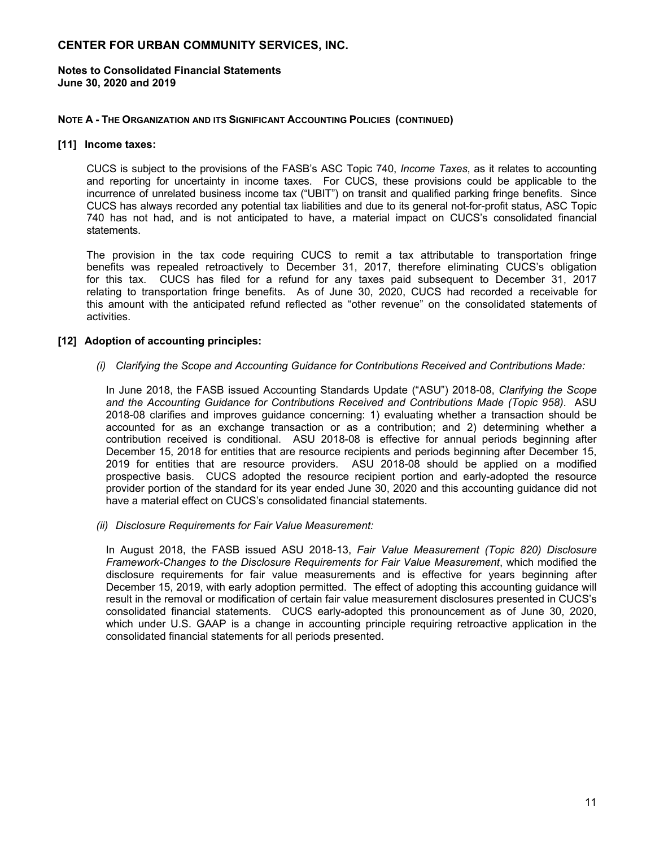**Notes to Consolidated Financial Statements June 30, 2020 and 2019** 

#### **NOTE A - THE ORGANIZATION AND ITS SIGNIFICANT ACCOUNTING POLICIES (CONTINUED)**

#### **[11] Income taxes:**

CUCS is subject to the provisions of the FASB's ASC Topic 740, *Income Taxes*, as it relates to accounting and reporting for uncertainty in income taxes. For CUCS, these provisions could be applicable to the incurrence of unrelated business income tax ("UBIT") on transit and qualified parking fringe benefits. Since CUCS has always recorded any potential tax liabilities and due to its general not-for-profit status, ASC Topic 740 has not had, and is not anticipated to have, a material impact on CUCS's consolidated financial statements.

The provision in the tax code requiring CUCS to remit a tax attributable to transportation fringe benefits was repealed retroactively to December 31, 2017, therefore eliminating CUCS's obligation for this tax. CUCS has filed for a refund for any taxes paid subsequent to December 31, 2017 relating to transportation fringe benefits. As of June 30, 2020, CUCS had recorded a receivable for this amount with the anticipated refund reflected as "other revenue" on the consolidated statements of activities.

#### **[12] Adoption of accounting principles:**

#### *(i) Clarifying the Scope and Accounting Guidance for Contributions Received and Contributions Made:*

In June 2018, the FASB issued Accounting Standards Update ("ASU") 2018-08, *Clarifying the Scope and the Accounting Guidance for Contributions Received and Contributions Made (Topic 958)*. ASU 2018-08 clarifies and improves guidance concerning: 1) evaluating whether a transaction should be accounted for as an exchange transaction or as a contribution; and 2) determining whether a contribution received is conditional. ASU 2018-08 is effective for annual periods beginning after December 15, 2018 for entities that are resource recipients and periods beginning after December 15, 2019 for entities that are resource providers. ASU 2018-08 should be applied on a modified prospective basis. CUCS adopted the resource recipient portion and early-adopted the resource provider portion of the standard for its year ended June 30, 2020 and this accounting guidance did not have a material effect on CUCS's consolidated financial statements.

*(ii) Disclosure Requirements for Fair Value Measurement:* 

In August 2018, the FASB issued ASU 2018-13, *Fair Value Measurement (Topic 820) Disclosure Framework-Changes to the Disclosure Requirements for Fair Value Measurement*, which modified the disclosure requirements for fair value measurements and is effective for years beginning after December 15, 2019, with early adoption permitted. The effect of adopting this accounting guidance will result in the removal or modification of certain fair value measurement disclosures presented in CUCS's consolidated financial statements. CUCS early-adopted this pronouncement as of June 30, 2020, which under U.S. GAAP is a change in accounting principle requiring retroactive application in the consolidated financial statements for all periods presented.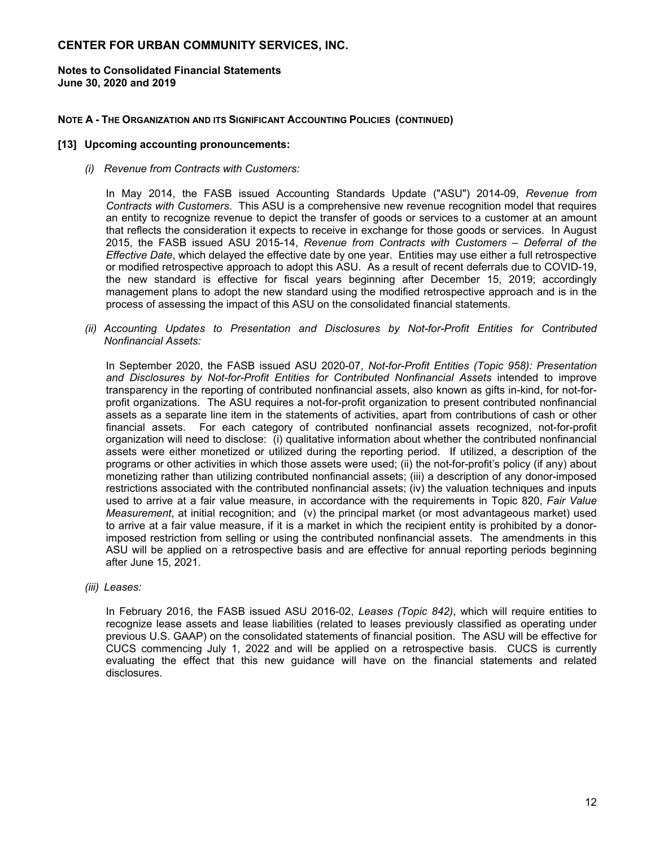#### **Notes to Consolidated Financial Statements June 30, 2020 and 2019**

#### **NOTE A - THE ORGANIZATION AND ITS SIGNIFICANT ACCOUNTING POLICIES (CONTINUED)**

#### **[13] Upcoming accounting pronouncements:**

*(i) Revenue from Contracts with Customers:* 

In May 2014, the FASB issued Accounting Standards Update ("ASU") 2014-09, *Revenue from Contracts with Customers*. This ASU is a comprehensive new revenue recognition model that requires an entity to recognize revenue to depict the transfer of goods or services to a customer at an amount that reflects the consideration it expects to receive in exchange for those goods or services. In August 2015, the FASB issued ASU 2015-14, *Revenue from Contracts with Customers – Deferral of the Effective Date*, which delayed the effective date by one year. Entities may use either a full retrospective or modified retrospective approach to adopt this ASU. As a result of recent deferrals due to COVID-19, the new standard is effective for fiscal years beginning after December 15, 2019; accordingly management plans to adopt the new standard using the modified retrospective approach and is in the process of assessing the impact of this ASU on the consolidated financial statements.

*(ii) Accounting Updates to Presentation and Disclosures by Not-for-Profit Entities for Contributed Nonfinancial Assets:* 

In September 2020, the FASB issued ASU 2020-07, *Not-for-Profit Entities (Topic 958): Presentation and Disclosures by Not-for-Profit Entities for Contributed Nonfinancial Assets* intended to improve transparency in the reporting of contributed nonfinancial assets, also known as gifts in-kind, for not-forprofit organizations. The ASU requires a not-for-profit organization to present contributed nonfinancial assets as a separate line item in the statements of activities, apart from contributions of cash or other financial assets. For each category of contributed nonfinancial assets recognized, not-for-profit organization will need to disclose: (i) qualitative information about whether the contributed nonfinancial assets were either monetized or utilized during the reporting period. If utilized, a description of the programs or other activities in which those assets were used; (ii) the not-for-profit's policy (if any) about monetizing rather than utilizing contributed nonfinancial assets; (iii) a description of any donor-imposed restrictions associated with the contributed nonfinancial assets; (iv) the valuation techniques and inputs used to arrive at a fair value measure, in accordance with the requirements in Topic 820, *Fair Value Measurement*, at initial recognition; and (v) the principal market (or most advantageous market) used to arrive at a fair value measure, if it is a market in which the recipient entity is prohibited by a donorimposed restriction from selling or using the contributed nonfinancial assets. The amendments in this ASU will be applied on a retrospective basis and are effective for annual reporting periods beginning after June 15, 2021.

*(iii) Leases:* 

In February 2016, the FASB issued ASU 2016-02, *Leases (Topic 842)*, which will require entities to recognize lease assets and lease liabilities (related to leases previously classified as operating under previous U.S. GAAP) on the consolidated statements of financial position. The ASU will be effective for CUCS commencing July 1, 2022 and will be applied on a retrospective basis. CUCS is currently evaluating the effect that this new guidance will have on the financial statements and related disclosures.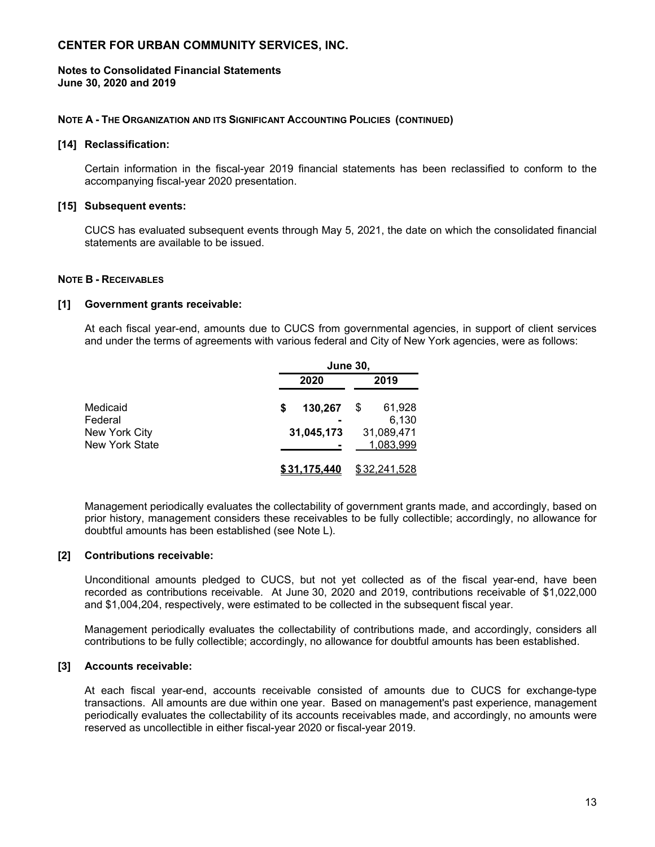#### **Notes to Consolidated Financial Statements June 30, 2020 and 2019**

#### **NOTE A - THE ORGANIZATION AND ITS SIGNIFICANT ACCOUNTING POLICIES (CONTINUED)**

#### **[14] Reclassification:**

Certain information in the fiscal-year 2019 financial statements has been reclassified to conform to the accompanying fiscal-year 2020 presentation.

#### **[15] Subsequent events:**

CUCS has evaluated subsequent events through May 5, 2021, the date on which the consolidated financial statements are available to be issued.

#### **NOTE B - RECEIVABLES**

#### **[1] Government grants receivable:**

At each fiscal year-end, amounts due to CUCS from governmental agencies, in support of client services and under the terms of agreements with various federal and City of New York agencies, were as follows:

|                                        | <b>June 30,</b> |                         |  |  |
|----------------------------------------|-----------------|-------------------------|--|--|
|                                        | 2020            | 2019                    |  |  |
| Medicaid<br>Federal                    | 130,267<br>S    | 61,928<br>S<br>6,130    |  |  |
| New York City<br><b>New York State</b> | 31,045,173      | 31,089,471<br>1,083,999 |  |  |
|                                        | 31.175.440      | \$32,241,528            |  |  |

Management periodically evaluates the collectability of government grants made, and accordingly, based on prior history, management considers these receivables to be fully collectible; accordingly, no allowance for doubtful amounts has been established (see Note L).

#### **[2] Contributions receivable:**

Unconditional amounts pledged to CUCS, but not yet collected as of the fiscal year-end, have been recorded as contributions receivable. At June 30, 2020 and 2019, contributions receivable of \$1,022,000 and \$1,004,204, respectively, were estimated to be collected in the subsequent fiscal year.

Management periodically evaluates the collectability of contributions made, and accordingly, considers all contributions to be fully collectible; accordingly, no allowance for doubtful amounts has been established.

#### **[3] Accounts receivable:**

At each fiscal year-end, accounts receivable consisted of amounts due to CUCS for exchange-type transactions. All amounts are due within one year. Based on management's past experience, management periodically evaluates the collectability of its accounts receivables made, and accordingly, no amounts were reserved as uncollectible in either fiscal-year 2020 or fiscal-year 2019.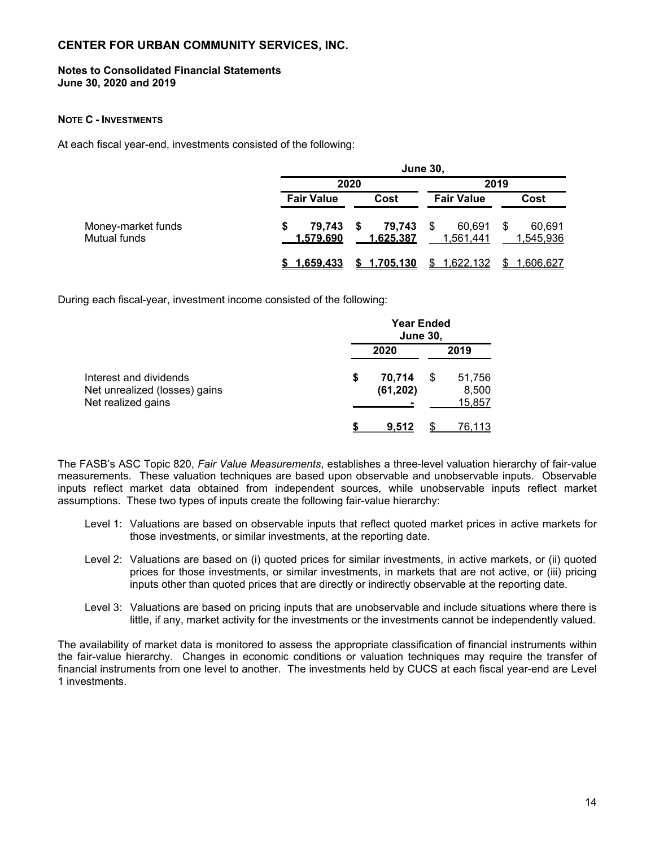#### **Notes to Consolidated Financial Statements June 30, 2020 and 2019**

#### **NOTE C - INVESTMENTS**

At each fiscal year-end, investments consisted of the following:

|                                    |                               | <b>June 30,</b>               |                     |                          |  |  |
|------------------------------------|-------------------------------|-------------------------------|---------------------|--------------------------|--|--|
|                                    |                               | 2020                          |                     | 2019                     |  |  |
|                                    | <b>Fair Value</b>             | Cost                          | <b>Fair Value</b>   | Cost                     |  |  |
| Money-market funds<br>Mutual funds | 79,743 \$<br><u>1.579.690</u> | 79,743 \$<br><u>1.625.387</u> | 60,691<br>1.561.441 | 60.691<br>S<br>1,545,936 |  |  |
|                                    | <u>1.659.433</u>              | \$1,705,130                   | \$1,622,132         | <u>1,606,627</u><br>\$.  |  |  |

During each fiscal-year, investment income consisted of the following:

|                                                                               | <b>Year Ended</b><br><b>June 30,</b> |                     |    |                           |
|-------------------------------------------------------------------------------|--------------------------------------|---------------------|----|---------------------------|
|                                                                               |                                      | 2020                |    | 2019                      |
| Interest and dividends<br>Net unrealized (losses) gains<br>Net realized gains | \$                                   | 70,714<br>(61, 202) | \$ | 51,756<br>8,500<br>15,857 |
|                                                                               |                                      | 9.512               |    | <u>76,113</u>             |

The FASB's ASC Topic 820, *Fair Value Measurements*, establishes a three-level valuation hierarchy of fair-value measurements. These valuation techniques are based upon observable and unobservable inputs. Observable inputs reflect market data obtained from independent sources, while unobservable inputs reflect market assumptions. These two types of inputs create the following fair-value hierarchy:

- Level 1: Valuations are based on observable inputs that reflect quoted market prices in active markets for those investments, or similar investments, at the reporting date.
- Level 2: Valuations are based on (i) quoted prices for similar investments, in active markets, or (ii) quoted prices for those investments, or similar investments, in markets that are not active, or (iii) pricing inputs other than quoted prices that are directly or indirectly observable at the reporting date.
- Level 3: Valuations are based on pricing inputs that are unobservable and include situations where there is little, if any, market activity for the investments or the investments cannot be independently valued.

The availability of market data is monitored to assess the appropriate classification of financial instruments within the fair-value hierarchy. Changes in economic conditions or valuation techniques may require the transfer of financial instruments from one level to another. The investments held by CUCS at each fiscal year-end are Level 1 investments.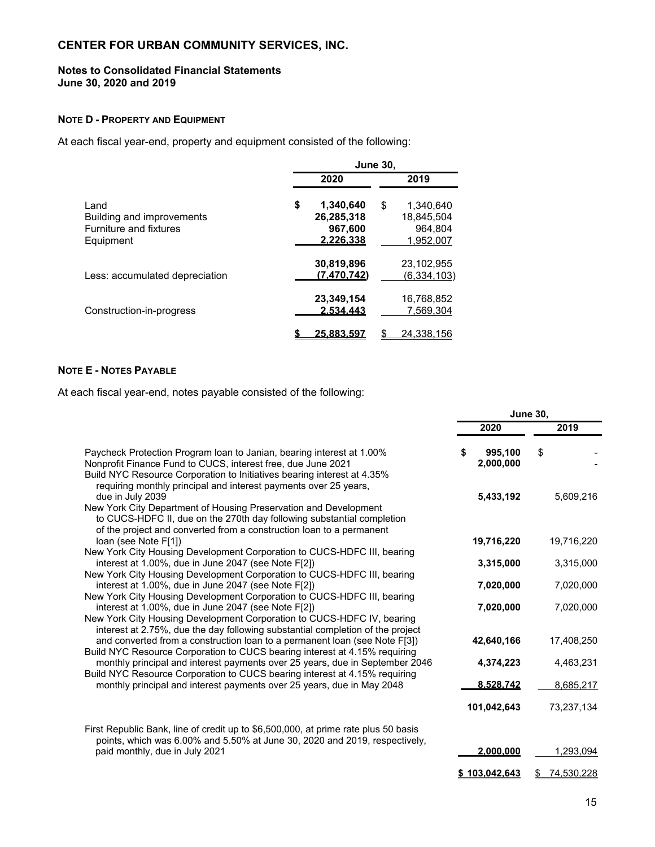#### **Notes to Consolidated Financial Statements June 30, 2020 and 2019**

## **NOTE D - PROPERTY AND EQUIPMENT**

At each fiscal year-end, property and equipment consisted of the following:

|                                                                          | <b>June 30.</b>                                       |    |                                                 |  |
|--------------------------------------------------------------------------|-------------------------------------------------------|----|-------------------------------------------------|--|
|                                                                          | 2020                                                  |    | 2019                                            |  |
| Land<br>Building and improvements<br>Furniture and fixtures<br>Equipment | \$<br>1,340,640<br>26,285,318<br>967,600<br>2.226.338 | \$ | 1.340.640<br>18.845.504<br>964.804<br>1.952.007 |  |
| Less: accumulated depreciation                                           | 30,819,896<br>(7.470.742)                             |    | 23.102.955<br><u>(6,334,103)</u>                |  |
| Construction-in-progress                                                 | 23,349,154<br>2.534.443                               |    | 16.768.852<br>7.569.304                         |  |
|                                                                          | 25.883.597                                            |    | 24,338,156                                      |  |

## **NOTE E - NOTES PAYABLE**

At each fiscal year-end, notes payable consisted of the following:

|                                                                                                                                                                                                                                                                                      | <b>June 30.</b> |                      |            |
|--------------------------------------------------------------------------------------------------------------------------------------------------------------------------------------------------------------------------------------------------------------------------------------|-----------------|----------------------|------------|
|                                                                                                                                                                                                                                                                                      |                 | 2020                 | 2019       |
| Paycheck Protection Program loan to Janian, bearing interest at 1.00%<br>Nonprofit Finance Fund to CUCS, interest free, due June 2021<br>Build NYC Resource Corporation to Initiatives bearing interest at 4.35%<br>requiring monthly principal and interest payments over 25 years, |                 | 995,100<br>2,000,000 | \$         |
| due in July 2039<br>New York City Department of Housing Preservation and Development<br>to CUCS-HDFC II, due on the 270th day following substantial completion<br>of the project and converted from a construction loan to a permanent                                               |                 | 5,433,192            | 5,609,216  |
| loan (see Note F[1])<br>New York City Housing Development Corporation to CUCS-HDFC III, bearing                                                                                                                                                                                      |                 | 19,716,220           | 19,716,220 |
| interest at 1.00%, due in June 2047 (see Note F[2])<br>New York City Housing Development Corporation to CUCS-HDFC III, bearing                                                                                                                                                       |                 | 3,315,000            | 3,315,000  |
| interest at 1.00%, due in June 2047 (see Note F[2])<br>New York City Housing Development Corporation to CUCS-HDFC III, bearing                                                                                                                                                       |                 | 7,020,000            | 7,020,000  |
| interest at 1.00%, due in June 2047 (see Note F[2])<br>New York City Housing Development Corporation to CUCS-HDFC IV, bearing<br>interest at 2.75%, due the day following substantial completion of the project                                                                      |                 | 7,020,000            | 7,020,000  |
| and converted from a construction loan to a permanent loan (see Note F[3])<br>Build NYC Resource Corporation to CUCS bearing interest at 4.15% requiring                                                                                                                             |                 | 42,640,166           | 17,408,250 |
| monthly principal and interest payments over 25 years, due in September 2046<br>Build NYC Resource Corporation to CUCS bearing interest at 4.15% requiring                                                                                                                           |                 | 4,374,223            | 4,463,231  |
| monthly principal and interest payments over 25 years, due in May 2048                                                                                                                                                                                                               |                 | 8.528.742            | 8,685,217  |
|                                                                                                                                                                                                                                                                                      |                 | 101,042,643          | 73,237,134 |
| First Republic Bank, line of credit up to \$6,500,000, at prime rate plus 50 basis<br>points, which was 6.00% and 5.50% at June 30, 2020 and 2019, respectively,                                                                                                                     |                 |                      |            |
| paid monthly, due in July 2021                                                                                                                                                                                                                                                       |                 | 2.000.000            | 1,293,094  |
|                                                                                                                                                                                                                                                                                      |                 | <u>\$103.042.643</u> | 74,530,228 |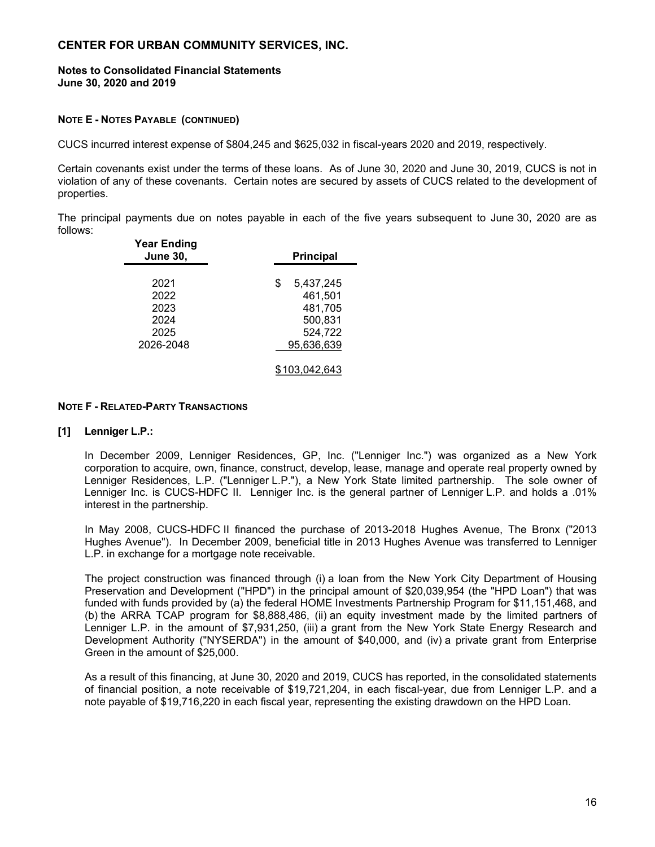#### **Notes to Consolidated Financial Statements June 30, 2020 and 2019**

#### **NOTE E - NOTES PAYABLE (CONTINUED)**

CUCS incurred interest expense of \$804,245 and \$625,032 in fiscal-years 2020 and 2019, respectively.

Certain covenants exist under the terms of these loans. As of June 30, 2020 and June 30, 2019, CUCS is not in violation of any of these covenants. Certain notes are secured by assets of CUCS related to the development of properties.

The principal payments due on notes payable in each of the five years subsequent to June 30, 2020 are as follows: **Year Ending**

| rear Ending<br><b>June 30,</b>                    | <b>Principal</b>                                                          |
|---------------------------------------------------|---------------------------------------------------------------------------|
| 2021<br>2022<br>2023<br>2024<br>2025<br>2026-2048 | 5,437,245<br>\$<br>461,501<br>481,705<br>500,831<br>524,722<br>95,636,639 |
|                                                   | 103,042,643                                                               |

#### **NOTE F - RELATED-PARTY TRANSACTIONS**

#### **[1] Lenniger L.P.:**

In December 2009, Lenniger Residences, GP, Inc. ("Lenniger Inc.") was organized as a New York corporation to acquire, own, finance, construct, develop, lease, manage and operate real property owned by Lenniger Residences, L.P. ("Lenniger L.P."), a New York State limited partnership. The sole owner of Lenniger Inc. is CUCS-HDFC II. Lenniger Inc. is the general partner of Lenniger L.P. and holds a .01% interest in the partnership.

In May 2008, CUCS-HDFC II financed the purchase of 2013-2018 Hughes Avenue, The Bronx ("2013 Hughes Avenue"). In December 2009, beneficial title in 2013 Hughes Avenue was transferred to Lenniger L.P. in exchange for a mortgage note receivable.

The project construction was financed through (i) a loan from the New York City Department of Housing Preservation and Development ("HPD") in the principal amount of \$20,039,954 (the "HPD Loan") that was funded with funds provided by (a) the federal HOME Investments Partnership Program for \$11,151,468, and (b) the ARRA TCAP program for \$8,888,486, (ii) an equity investment made by the limited partners of Lenniger L.P. in the amount of \$7,931,250, (iii) a grant from the New York State Energy Research and Development Authority ("NYSERDA") in the amount of \$40,000, and (iv) a private grant from Enterprise Green in the amount of \$25,000.

As a result of this financing, at June 30, 2020 and 2019, CUCS has reported, in the consolidated statements of financial position, a note receivable of \$19,721,204, in each fiscal-year, due from Lenniger L.P. and a note payable of \$19,716,220 in each fiscal year, representing the existing drawdown on the HPD Loan.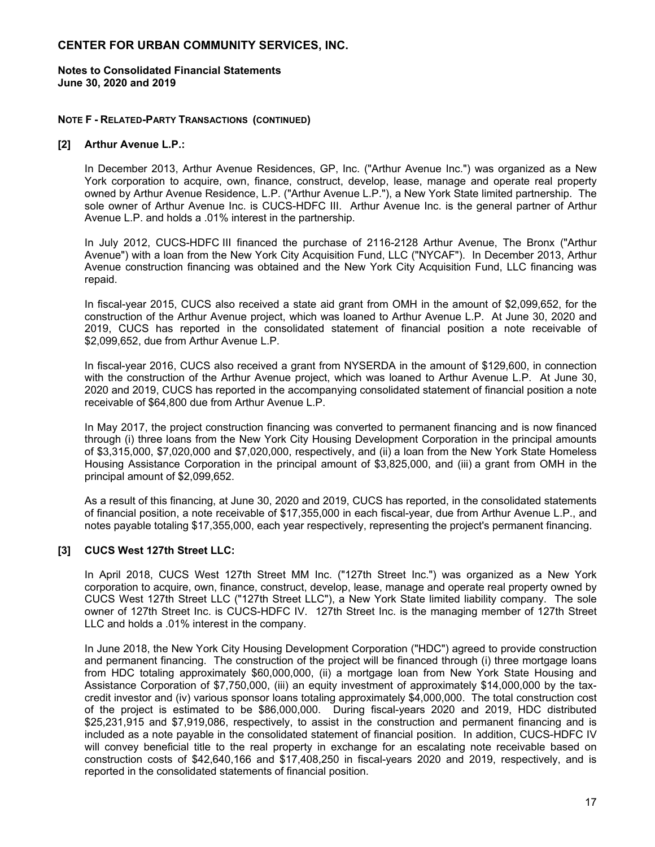#### **Notes to Consolidated Financial Statements June 30, 2020 and 2019**

#### **NOTE F - RELATED-PARTY TRANSACTIONS (CONTINUED)**

#### **[2] Arthur Avenue L.P.:**

In December 2013, Arthur Avenue Residences, GP, Inc. ("Arthur Avenue Inc.") was organized as a New York corporation to acquire, own, finance, construct, develop, lease, manage and operate real property owned by Arthur Avenue Residence, L.P. ("Arthur Avenue L.P."), a New York State limited partnership. The sole owner of Arthur Avenue Inc. is CUCS-HDFC III. Arthur Avenue Inc. is the general partner of Arthur Avenue L.P. and holds a .01% interest in the partnership.

In July 2012, CUCS-HDFC III financed the purchase of 2116-2128 Arthur Avenue, The Bronx ("Arthur Avenue") with a loan from the New York City Acquisition Fund, LLC ("NYCAF"). In December 2013, Arthur Avenue construction financing was obtained and the New York City Acquisition Fund, LLC financing was repaid.

In fiscal-year 2015, CUCS also received a state aid grant from OMH in the amount of \$2,099,652, for the construction of the Arthur Avenue project, which was loaned to Arthur Avenue L.P. At June 30, 2020 and 2019, CUCS has reported in the consolidated statement of financial position a note receivable of \$2,099,652, due from Arthur Avenue L.P.

In fiscal-year 2016, CUCS also received a grant from NYSERDA in the amount of \$129,600, in connection with the construction of the Arthur Avenue project, which was loaned to Arthur Avenue L.P. At June 30, 2020 and 2019, CUCS has reported in the accompanying consolidated statement of financial position a note receivable of \$64,800 due from Arthur Avenue L.P.

In May 2017, the project construction financing was converted to permanent financing and is now financed through (i) three loans from the New York City Housing Development Corporation in the principal amounts of \$3,315,000, \$7,020,000 and \$7,020,000, respectively, and (ii) a loan from the New York State Homeless Housing Assistance Corporation in the principal amount of \$3,825,000, and (iii) a grant from OMH in the principal amount of \$2,099,652.

As a result of this financing, at June 30, 2020 and 2019, CUCS has reported, in the consolidated statements of financial position, a note receivable of \$17,355,000 in each fiscal-year, due from Arthur Avenue L.P., and notes payable totaling \$17,355,000, each year respectively, representing the project's permanent financing.

## **[3] CUCS West 127th Street LLC:**

In April 2018, CUCS West 127th Street MM Inc. ("127th Street Inc.") was organized as a New York corporation to acquire, own, finance, construct, develop, lease, manage and operate real property owned by CUCS West 127th Street LLC ("127th Street LLC"), a New York State limited liability company. The sole owner of 127th Street Inc. is CUCS-HDFC IV. 127th Street Inc. is the managing member of 127th Street LLC and holds a .01% interest in the company.

In June 2018, the New York City Housing Development Corporation ("HDC") agreed to provide construction and permanent financing. The construction of the project will be financed through (i) three mortgage loans from HDC totaling approximately \$60,000,000, (ii) a mortgage loan from New York State Housing and Assistance Corporation of \$7,750,000, (iii) an equity investment of approximately \$14,000,000 by the taxcredit investor and (iv) various sponsor loans totaling approximately \$4,000,000. The total construction cost of the project is estimated to be \$86,000,000.During fiscal-years 2020 and 2019, HDC distributed \$25,231,915 and \$7,919,086, respectively, to assist in the construction and permanent financing and is included as a note payable in the consolidated statement of financial position. In addition, CUCS-HDFC IV will convey beneficial title to the real property in exchange for an escalating note receivable based on construction costs of \$42,640,166 and \$17,408,250 in fiscal-years 2020 and 2019, respectively, and is reported in the consolidated statements of financial position.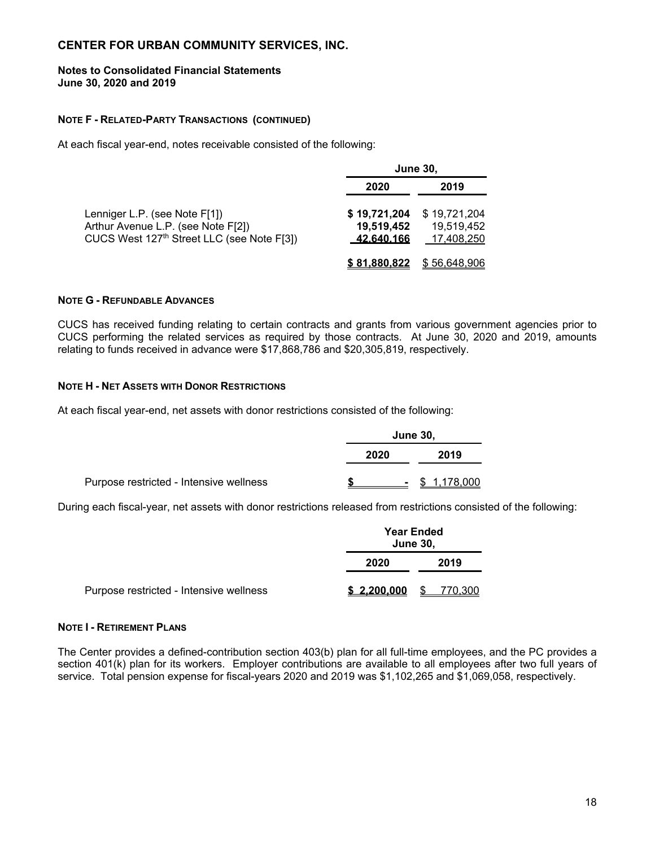#### **Notes to Consolidated Financial Statements June 30, 2020 and 2019**

#### **NOTE F - RELATED-PARTY TRANSACTIONS (CONTINUED)**

At each fiscal year-end, notes receivable consisted of the following:

|                                                                                                                               | <b>June 30,</b>                                  |                                          |  |  |
|-------------------------------------------------------------------------------------------------------------------------------|--------------------------------------------------|------------------------------------------|--|--|
|                                                                                                                               | 2020                                             | 2019                                     |  |  |
| Lenniger L.P. (see Note F[1])<br>Arthur Avenue L.P. (see Note F[2])<br>CUCS West 127 <sup>th</sup> Street LLC (see Note F[3]) | \$19,721,204<br>19,519,452<br><u>.42.640.166</u> | \$19,721,204<br>19,519,452<br>17,408,250 |  |  |
|                                                                                                                               | \$81,880,822                                     | \$56,648,906                             |  |  |

## **NOTE G - REFUNDABLE ADVANCES**

CUCS has received funding relating to certain contracts and grants from various government agencies prior to CUCS performing the related services as required by those contracts. At June 30, 2020 and 2019, amounts relating to funds received in advance were \$17,868,786 and \$20,305,819, respectively.

#### **NOTE H - NET ASSETS WITH DONOR RESTRICTIONS**

At each fiscal year-end, net assets with donor restrictions consisted of the following:

|                                         | <b>June 30,</b> |  |             |  |
|-----------------------------------------|-----------------|--|-------------|--|
|                                         | 2020            |  | 2019        |  |
| Purpose restricted - Intensive wellness |                 |  | . 1 178 000 |  |

During each fiscal-year, net assets with donor restrictions released from restrictions consisted of the following:

|                                         |             | <b>Year Ended</b><br><b>June 30,</b> |         |  |  |
|-----------------------------------------|-------------|--------------------------------------|---------|--|--|
|                                         | 2020        |                                      | 2019    |  |  |
| Purpose restricted - Intensive wellness | \$2,200,000 | \$.                                  | 770.300 |  |  |

#### **NOTE I - RETIREMENT PLANS**

The Center provides a defined-contribution section 403(b) plan for all full-time employees, and the PC provides a section 401(k) plan for its workers. Employer contributions are available to all employees after two full years of service. Total pension expense for fiscal-years 2020 and 2019 was \$1,102,265 and \$1,069,058, respectively.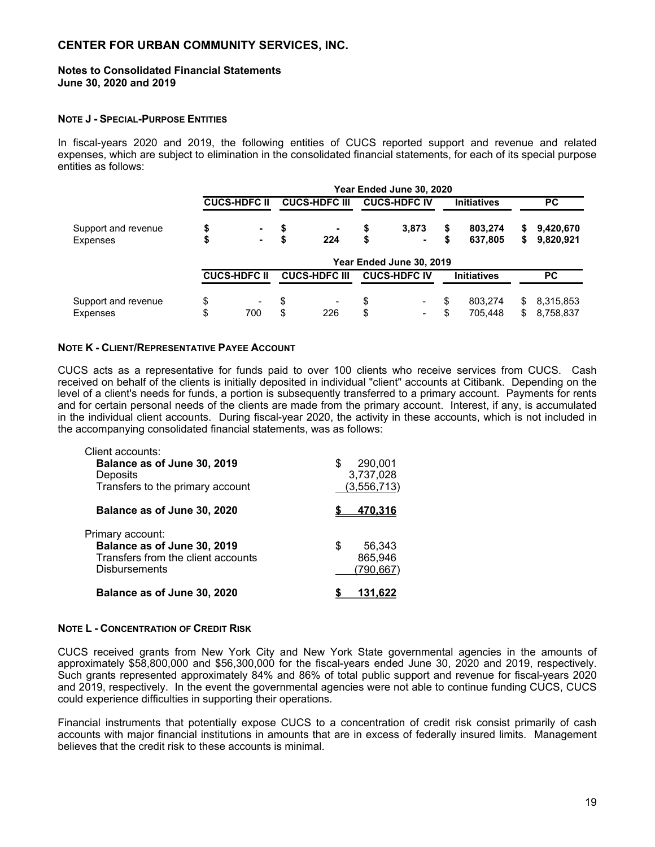#### **Notes to Consolidated Financial Statements June 30, 2020 and 2019**

#### **NOTE J - SPECIAL-PURPOSE ENTITIES**

In fiscal-years 2020 and 2019, the following entities of CUCS reported support and revenue and related expenses, which are subject to elimination in the consolidated financial statements, for each of its special purpose entities as follows:

|                     | Year Ended June 30, 2020       |    |                      |    |                          |    |                    |     |           |
|---------------------|--------------------------------|----|----------------------|----|--------------------------|----|--------------------|-----|-----------|
|                     | <b>CUCS-HDFC II</b>            |    | <b>CUCS-HDFC III</b> |    | <b>CUCS-HDFC IV</b>      |    | <b>Initiatives</b> |     | <b>PC</b> |
| Support and revenue | \$<br>$\sim$                   | S  |                      | \$ | 3,873                    | \$ | 803,274            | S.  | 9,420,670 |
| Expenses            | \$<br>$\sim$                   |    | 224                  | \$ | ۰                        | \$ | 637,805            | S.  | 9,820,921 |
|                     |                                |    |                      |    | Year Ended June 30, 2019 |    |                    |     |           |
|                     | <b>CUCS-HDFC II</b>            |    | <b>CUCS-HDFC III</b> |    | <b>CUCS-HDFC IV</b>      |    | <b>Initiatives</b> |     | <b>PC</b> |
| Support and revenue | \$<br>$\overline{\phantom{a}}$ | \$ |                      | \$ | $\blacksquare$           | \$ | 803.274            | \$  | 8,315,853 |
| <b>Expenses</b>     | \$<br>700                      | \$ | 226                  | \$ | $\blacksquare$           |    | 705.448            | \$. | 8,758,837 |

#### **NOTE K - CLIENT/REPRESENTATIVE PAYEE ACCOUNT**

CUCS acts as a representative for funds paid to over 100 clients who receive services from CUCS. Cash received on behalf of the clients is initially deposited in individual "client" accounts at Citibank. Depending on the level of a client's needs for funds, a portion is subsequently transferred to a primary account. Payments for rents and for certain personal needs of the clients are made from the primary account. Interest, if any, is accumulated in the individual client accounts. During fiscal-year 2020, the activity in these accounts, which is not included in the accompanying consolidated financial statements, was as follows:

| Client accounts:                                |              |
|-------------------------------------------------|--------------|
| Balance as of June 30, 2019                     | 290,001<br>S |
| Deposits                                        | 3,737,028    |
| Transfers to the primary account                | (3,556,713)  |
| Balance as of June 30, 2020                     | 470.316      |
| Primary account:<br>Balance as of June 30, 2019 | 56,343<br>S  |
| Transfers from the client accounts              | 865,946      |
| <b>Disbursements</b>                            | (790,667)    |
| Balance as of June 30, 2020                     |              |

#### **NOTE L - CONCENTRATION OF CREDIT RISK**

CUCS received grants from New York City and New York State governmental agencies in the amounts of approximately \$58,800,000 and \$56,300,000 for the fiscal-years ended June 30, 2020 and 2019, respectively. Such grants represented approximately 84% and 86% of total public support and revenue for fiscal-years 2020 and 2019, respectively. In the event the governmental agencies were not able to continue funding CUCS, CUCS could experience difficulties in supporting their operations.

Financial instruments that potentially expose CUCS to a concentration of credit risk consist primarily of cash accounts with major financial institutions in amounts that are in excess of federally insured limits. Management believes that the credit risk to these accounts is minimal.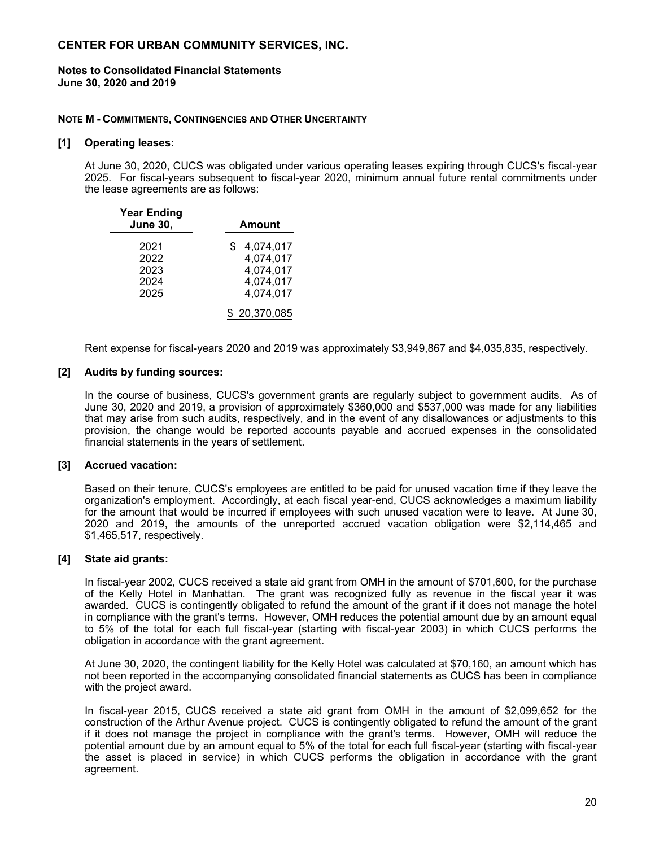#### **Notes to Consolidated Financial Statements June 30, 2020 and 2019**

#### **NOTE M - COMMITMENTS, CONTINGENCIES AND OTHER UNCERTAINTY**

#### **[1] Operating leases:**

At June 30, 2020, CUCS was obligated under various operating leases expiring through CUCS's fiscal-year 2025. For fiscal-years subsequent to fiscal-year 2020, minimum annual future rental commitments under the lease agreements are as follows:

| <b>Year Ending</b><br><b>June 30,</b> | Amount          |  |  |  |
|---------------------------------------|-----------------|--|--|--|
| 2021                                  | 4,074,017<br>\$ |  |  |  |
| 2022                                  | 4,074,017       |  |  |  |
| 2023                                  | 4,074,017       |  |  |  |
| 2024                                  | 4,074,017       |  |  |  |
| 2025                                  | 4,074,017       |  |  |  |
|                                       | \$20,370,085    |  |  |  |

Rent expense for fiscal-years 2020 and 2019 was approximately \$3,949,867 and \$4,035,835, respectively.

#### **[2] Audits by funding sources:**

In the course of business, CUCS's government grants are regularly subject to government audits. As of June 30, 2020 and 2019, a provision of approximately \$360,000 and \$537,000 was made for any liabilities that may arise from such audits, respectively, and in the event of any disallowances or adjustments to this provision, the change would be reported accounts payable and accrued expenses in the consolidated financial statements in the years of settlement.

#### **[3] Accrued vacation:**

Based on their tenure, CUCS's employees are entitled to be paid for unused vacation time if they leave the organization's employment. Accordingly, at each fiscal year-end, CUCS acknowledges a maximum liability for the amount that would be incurred if employees with such unused vacation were to leave. At June 30, 2020 and 2019, the amounts of the unreported accrued vacation obligation were \$2,114,465 and \$1,465,517, respectively.

#### **[4] State aid grants:**

In fiscal-year 2002, CUCS received a state aid grant from OMH in the amount of \$701,600, for the purchase of the Kelly Hotel in Manhattan. The grant was recognized fully as revenue in the fiscal year it was awarded. CUCS is contingently obligated to refund the amount of the grant if it does not manage the hotel in compliance with the grant's terms. However, OMH reduces the potential amount due by an amount equal to 5% of the total for each full fiscal-year (starting with fiscal-year 2003) in which CUCS performs the obligation in accordance with the grant agreement.

At June 30, 2020, the contingent liability for the Kelly Hotel was calculated at \$70,160, an amount which has not been reported in the accompanying consolidated financial statements as CUCS has been in compliance with the project award.

In fiscal-year 2015, CUCS received a state aid grant from OMH in the amount of \$2,099,652 for the construction of the Arthur Avenue project. CUCS is contingently obligated to refund the amount of the grant if it does not manage the project in compliance with the grant's terms. However, OMH will reduce the potential amount due by an amount equal to 5% of the total for each full fiscal-year (starting with fiscal-year the asset is placed in service) in which CUCS performs the obligation in accordance with the grant agreement.